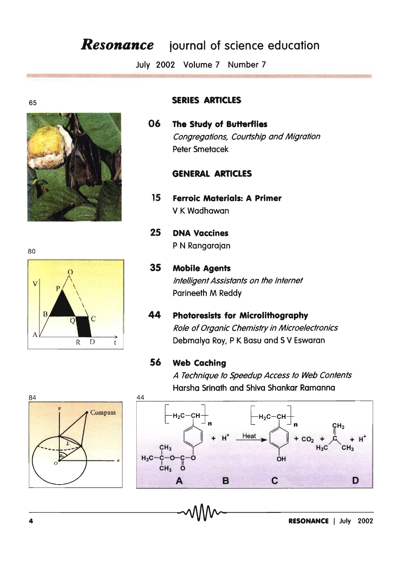# **Resonance** journal of science education

July 2002 Volume 7 Number 7

80

65



### **SERIES ARTICLES**

06 The Study of Butterflies Congregations, Courtship and Migration Peter Smetacek

### **GENERAL ARTICLES**

- 15 **Ferroic Materials: A Primer** V K Wadhawan
- 25 **DNA Vaccines** P N Rangarajan
- **Mobile Agents** 35 Intelligent Assistants on the Internet Parineeth M Reddy
- 44 **Photoresists for Microlithography** Role of Organic Chemistry in Microelectronics Debmalya Roy, P K Basu and S V Eswaran

### 56 **Web Caching**

A Technique to Speedup Access to Web Contents Harsha Srinath and Shiva Shankar Ramanna